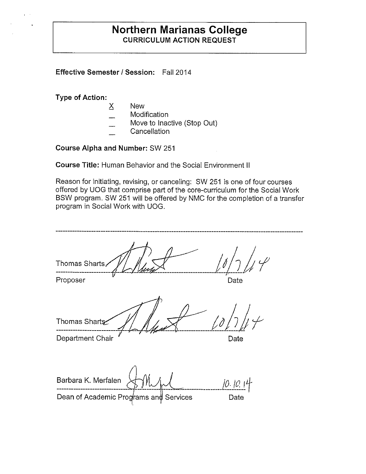### **Northern Marianas College CURRICULUM ACTION REQUEST**

**Effective Semester/ Session:** Fall 2014

**Type of Action:** 

- $\times$  New
- **Modification**
- Move to Inactive (Stop Out)
- **Cancellation**

**Course Alpha and Number:** SW 251

**Course Title:** Human Behavior and the Social Environment II

Reason for initiating, revising, or canceling: SW 251 is one of four courses offered by UOG that comprise part of the core-curriculum for the Social Work BSW program. SW 251 will be offered by NMC for the completion of a transfer program in Social Work with UOG.

| Thomas Sharts,                         |          |
|----------------------------------------|----------|
| Proposer                               | Date     |
| Thomas Sharts                          |          |
| Department Chair                       | Date     |
| Barbara K. Merfalen                    | 10.10.14 |
| Dean of Academic Programs and Services | Date     |
|                                        |          |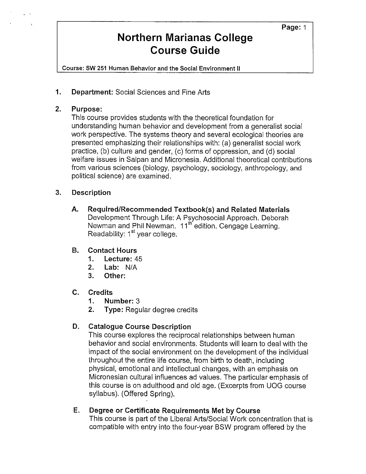Course: **SW** 251 Human Behavior and the Social Environment II

**1. Department:** Social Sciences and Fine Arts

#### **2. Purpose:**

This course provides students with the theoretical foundation for understanding human behavior and development from a generalist social work perspective. The systems theory and several ecological theories are presented emphasizing their relationships with: (a) generalist social work practice, (b) culture and gender, (c) forms of oppression, and (d) social welfare issues in Saipan and Micronesia. Additional theoretical contributions from various sciences (biology, psychology, sociology, anthropology, and political science) are examined.

#### **3. Description**

**A. Required/Recommended Textbook(s) and Related Materials**  Development Through Life: A Psychosocial Approach. Deborah Newman and Phil Newman. 11<sup>th</sup> edition. Cengage Learning. Readability: 1<sup>st</sup> year college.

#### **B. Contact Hours**

- **1. Lecture:** 45
- **2. Lab:** N/A
- **3. Other:**

#### **C. Credits**

- **1. Number:** 3
- **2. Type:** Regular degree credits

#### **D. Catalogue Course Description**

This course explores the reciprocal relationships between human behavior and social environments. Students **will** learn to deal with the impact of the social environment on the development of the individual throughout the entire life course, from birth to death, including physical, emotional and intellectual changes, with an emphasis on Micronesian cultural influences ad values. The particular emphasis of this course is on adulthood and old age. (Excerpts from UOG course syllabus). (Offered Spring).

#### **E. Degree or Certificate Requirements Met by Course**

This course is part of the Liberal Arts/Social Work concentration that is compatible with entry into the four-year BSW program offered by the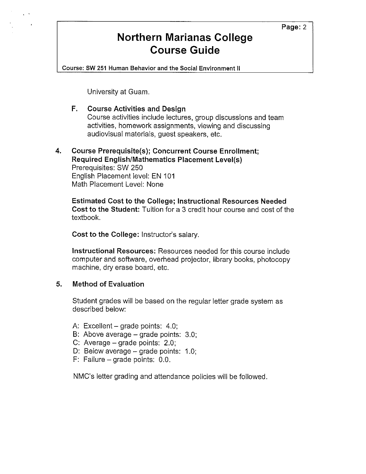Course: **SW** 251 Human Behavior and the Social Environment II

University at Guam.

 $\epsilon$  .  $\lambda$ 

#### **F. Course Activities and Design**  Course activities include lectures, group discussions and team activities, homework assignments, viewing and discussing audiovisual materials, guest speakers, etc.

#### **4. Course Prerequisite(s); Concurrent Course Enrollment; Required English/Mathematics Placement Level(s)**

Prerequisites: SW 250 English Placement level: EN 101 Math Placement Level: None

**Estimated Cost to the College; Instructional Resources Needed Cost to the Student:** Tuition for a 3 credit hour course and cost of the textbook.

**Cost to the College:** Instructor's salary.

**Instructional Resources:** Resources needed for this course include computer and software, overhead projector, library books, photocopy machine, dry erase board, etc.

#### **5. Method of Evaluation**

Student grades will be based on the regular letter grade system as described below:

- A: Excellent grade points: 4.0;
- B: Above average grade points: 3.0;
- C: Average  $-$  grade points: 2.0;
- D: Below average grade points: 1.0;
- F: Failure  $-$  grade points: 0.0.

NMC's letter grading and attendance policies will be followed.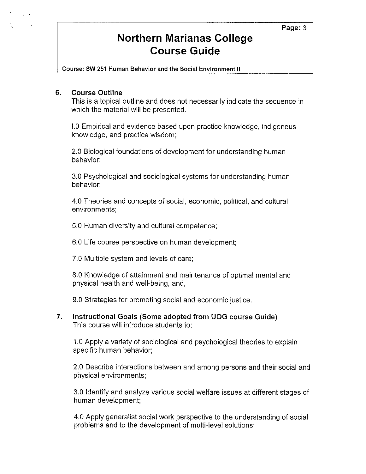**Course: SW 251 Human Behavior and the Social Environment 11** 

#### **6. Course Outline**

This is a topical outline and does not necessarily indicate the sequence in which the material will be presented.

1.0 Empirical and evidence based upon practice knowledge, indigenous knowledge, and practice wisdom;

2.0 Biological foundations of development for understanding human behavior;

3.0 Psychological and sociological systems for understanding human behavior;

4.0 Theories and concepts of social, economic, political, and cultural environments;

5.0 Human diversity and cultural competence;

6.0 Life course perspective on human development;

7.0 Multiple system and levels of care;

8.0 Knowledge of attainment and maintenance of optimal mental and physical health and well-being, and,

9.0 Strategies for promoting social and economic justice.

**7. Instructional Goals (Some adopted from UOG course Guide)**  This course will introduce students to:

1.0 Apply a variety of sociological and psychological theories to explain specific human behavior;

2.0 Describe interactions between and among persons and their social and physical environments;

3.0 Identify and analyze various social welfare issues at different stages of human development;

4.0 Apply generalist social work perspective to the understanding of social problems and to the development of multi-level solutions;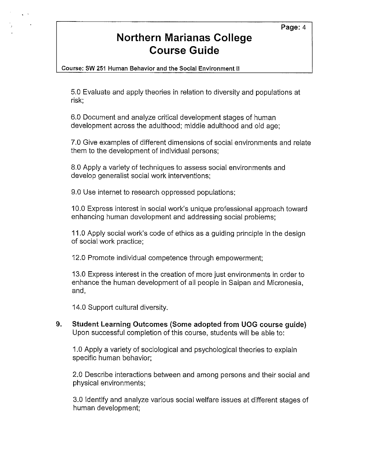Course: **SW** 251 Human Behavior and the Social Environment II

5.0 Evaluate and apply theories in relation to diversity and populations at risk;

6.0 Document and analyze critical development stages of human development across the adulthood; middle adulthood and old age;

7.0 Give examples of different dimensions of social environments and relate them to the development of individual persons;

8.0 Apply a variety of techniques to assess social environments and develop generalist social work interventions;

9.0 Use internet to research oppressed populations;

10.0 Express interest in social work's unique professional approach toward enhancing human development and addressing social problems;

11.0 Apply social work's code of ethics as a guiding principle in the design of social work practice;

12.0 Promote individual competence through empowerment;

13.0 Express interest in the creation of more just environments in order to enhance the human development of all people in Saipan and Micronesia, and,

14.0 Support cultural diversity.

**9. Student Learning Outcomes (Some adopted from UOG course guide)**  Upon successful completion of this course, students will be able to:

1.0 Apply a variety of sociological and psychological theories to explain specific human behavior;

2.0 Describe interactions between and among persons and their social and physical environments;

3.0 Identify and analyze various social welfare issues at different stages of human development;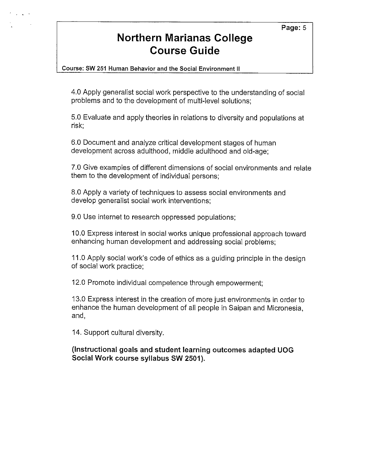#### Page: 5

### **Northern Marianas College Course Guide**

Course: **SW** 251 Human Behavior and the Social Environment II

4.0 Apply generalist social work perspective to the understanding of social problems and to the development of multi-level solutions;

5.0 Evaluate and apply theories in relations to diversity and populations at risk;

6.0 Document and analyze critical development stages of human development across adulthood, middle adulthood and old-age;

7.0 Give examples of different dimensions of social environments and relate them to the development of individual persons;

8.0 Apply a variety of techniques to assess social environments and develop generalist social work interventions;

9.0 Use internet to research oppressed populations;

10 .0 Express interest in social works unique professional approach toward enhancing human development and addressing social problems;

11.0 Apply social work's code of ethics as a guiding principle in the design of social work practice;

12.0 Promote individual competence through empowerment;

13.0 Express interest in the creation of more just environments in order to enhance the human development of all people in Saipan and Micronesia, and,

14. Support cultural diversity.

**(Instructional goals and student learning outcomes adapted UOG Social Work course syllabus SW 2501** ).